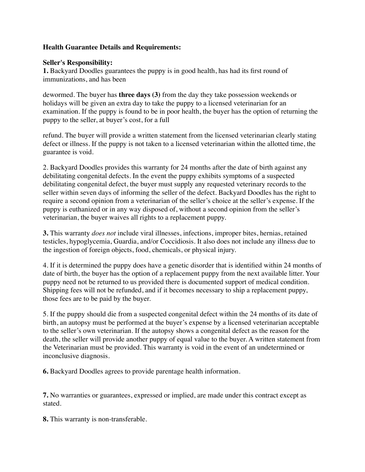## **Health Guarantee Details and Requirements:**

## **Seller's Responsibility:**

**1.** Backyard Doodles guarantees the puppy is in good health, has had its first round of immunizations, and has been

dewormed. The buyer has **three days (3)** from the day they take possession weekends or holidays will be given an extra day to take the puppy to a licensed veterinarian for an examination. If the puppy is found to be in poor health, the buyer has the option of returning the puppy to the seller, at buyer's cost, for a full

refund. The buyer will provide a written statement from the licensed veterinarian clearly stating defect or illness. If the puppy is not taken to a licensed veterinarian within the allotted time, the guarantee is void.

2. Backyard Doodles provides this warranty for 24 months after the date of birth against any debilitating congenital defects. In the event the puppy exhibits symptoms of a suspected debilitating congenital defect, the buyer must supply any requested veterinary records to the seller within seven days of informing the seller of the defect. Backyard Doodles has the right to require a second opinion from a veterinarian of the seller's choice at the seller's expense. If the puppy is euthanized or in any way disposed of, without a second opinion from the seller's veterinarian, the buyer waives all rights to a replacement puppy.

**3.** This warranty *does not* include viral illnesses, infections, improper bites, hernias, retained testicles, hypoglycemia, Guardia, and/or Coccidiosis. It also does not include any illness due to the ingestion of foreign objects, food, chemicals, or physical injury.

4. If it is determined the puppy does have a genetic disorder that is identified within 24 months of date of birth, the buyer has the option of a replacement puppy from the next available litter. Your puppy need not be returned to us provided there is documented support of medical condition. Shipping fees will not be refunded, and if it becomes necessary to ship a replacement puppy, those fees are to be paid by the buyer.

5. If the puppy should die from a suspected congenital defect within the 24 months of its date of birth, an autopsy must be performed at the buyer's expense by a licensed veterinarian acceptable to the seller's own veterinarian. If the autopsy shows a congenital defect as the reason for the death, the seller will provide another puppy of equal value to the buyer. A written statement from the Veterinarian must be provided. This warranty is void in the event of an undetermined or inconclusive diagnosis.

**6.** Backyard Doodles agrees to provide parentage health information.

**7.** No warranties or guarantees, expressed or implied, are made under this contract except as stated.

**8.** This warranty is non-transferable.